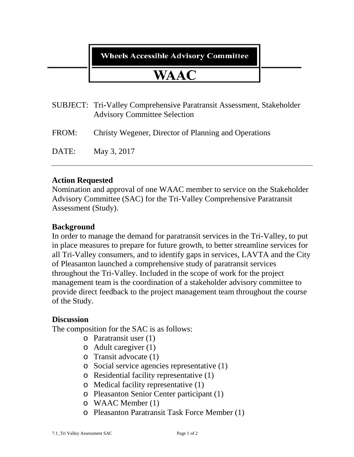## **Wheels Accessible Advisory Committee**

# **WAAC**

- SUBJECT: Tri-Valley Comprehensive Paratransit Assessment, Stakeholder Advisory Committee Selection
- FROM: Christy Wegener, Director of Planning and Operations

DATE: May 3, 2017

#### **Action Requested**

Nomination and approval of one WAAC member to service on the Stakeholder Advisory Committee (SAC) for the Tri-Valley Comprehensive Paratransit Assessment (Study).

#### **Background**

In order to manage the demand for paratransit services in the Tri-Valley, to put in place measures to prepare for future growth, to better streamline services for all Tri-Valley consumers, and to identify gaps in services, LAVTA and the City of Pleasanton launched a comprehensive study of paratransit services throughout the Tri-Valley. Included in the scope of work for the project management team is the coordination of a stakeholder advisory committee to provide direct feedback to the project management team throughout the course of the Study.

#### **Discussion**

The composition for the SAC is as follows:

- o Paratransit user (1)
- o Adult caregiver (1)
- o Transit advocate (1)
- o Social service agencies representative (1)
- o Residential facility representative (1)
- o Medical facility representative (1)
- o Pleasanton Senior Center participant (1)
- o WAAC Member (1)
- o Pleasanton Paratransit Task Force Member (1)